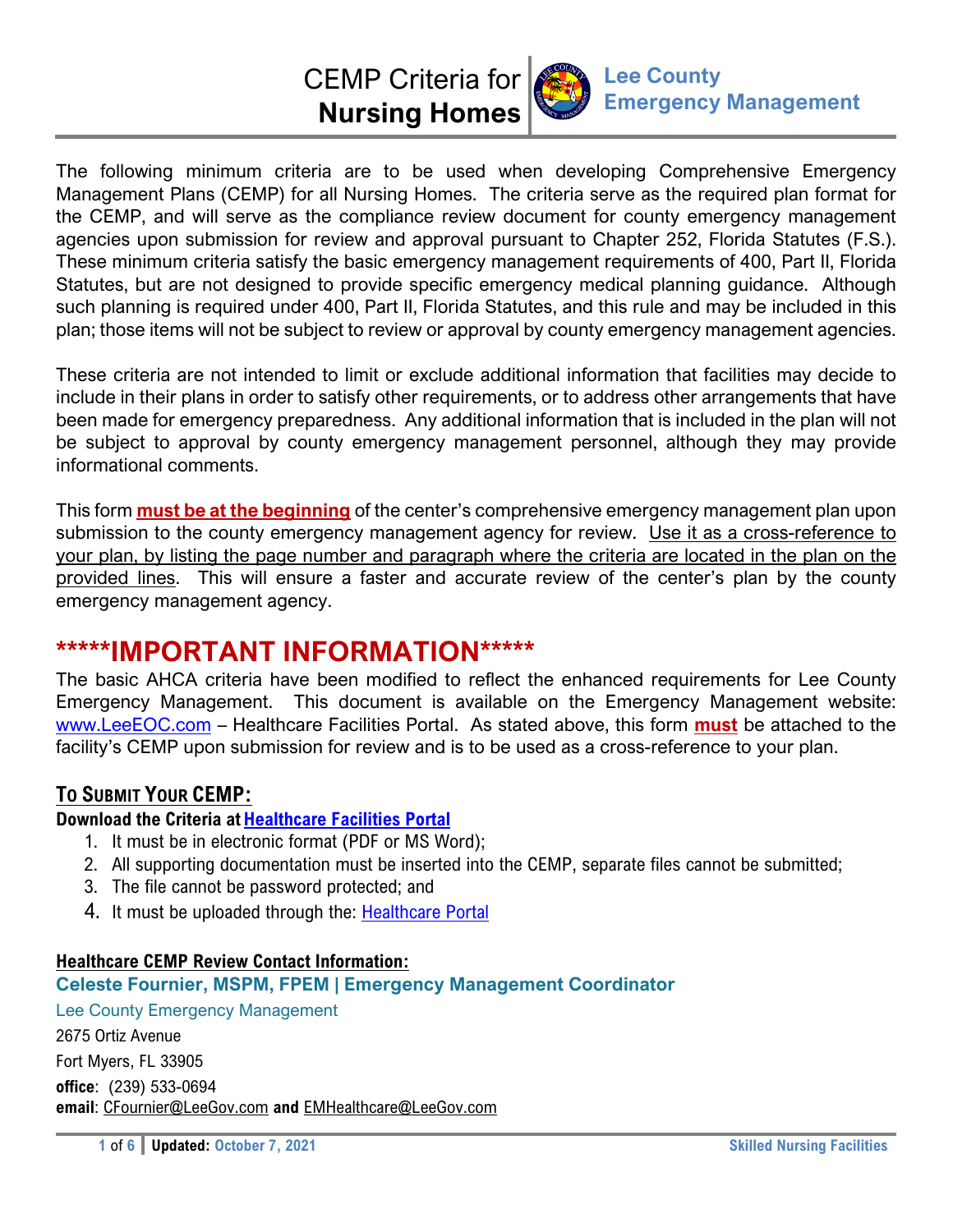# CEMP Criteria for **Nursing Homes**



The following minimum criteria are to be used when developing Comprehensive Emergency Management Plans (CEMP) for all Nursing Homes. The criteria serve as the required plan format for the CEMP, and will serve as the compliance review document for county emergency management agencies upon submission for review and approval pursuant to Chapter 252, Florida Statutes (F.S.). These minimum criteria satisfy the basic emergency management requirements of 400, Part II, Florida Statutes, but are not designed to provide specific emergency medical planning guidance. Although such planning is required under 400, Part II, Florida Statutes, and this rule and may be included in this plan; those items will not be subject to review or approval by county emergency management agencies.

These criteria are not intended to limit or exclude additional information that facilities may decide to include in their plans in order to satisfy other requirements, or to address other arrangements that have been made for emergency preparedness. Any additional information that is included in the plan will not be subject to approval by county emergency management personnel, although they may provide informational comments.

This form **must be at the beginning** of the center's comprehensive emergency management plan upon submission to the county emergency management agency for review. Use it as a cross-reference to your plan, by listing the page number and paragraph where the criteria are located in the plan on the provided lines. This will ensure a faster and accurate review of the center's plan by the county emergency management agency.

# **\*\*\*\*\*IMPORTANT INFORMATION\*\*\*\*\***

The basic AHCA criteria have been modified to reflect the enhanced requirements for Lee County Emergency Management. This document is available on the Emergency Management website: www.LeeEOC.com – Healthcare Facilities Portal. As stated above, this form **must** be attached to the facility's CEMP upon submission for review and is to be used as a cross-reference to your plan.

# **TO SUBMIT YOUR CEMP:**

## **Download the Criteria at Healthcare Facilities Portal**

- 1. It must be in electronic format (PDF or MS Word);
- 2. All supporting documentation must be inserted into the CEMP, separate files cannot be submitted;
- 3. The file cannot be password protected; and
- 4. It must be uploaded through the: Healthcare Portal

## **Healthcare CEMP Review Contact Information:**

## **Celeste Fournier, MSPM, FPEM | Emergency Management Coordinator**

Lee County Emergency Management 2675 Ortiz Avenue Fort Myers, FL 33905 **office**: (239) 533-0694 **email**: CFournier@LeeGov.com **and** EMHealthcare@LeeGov.com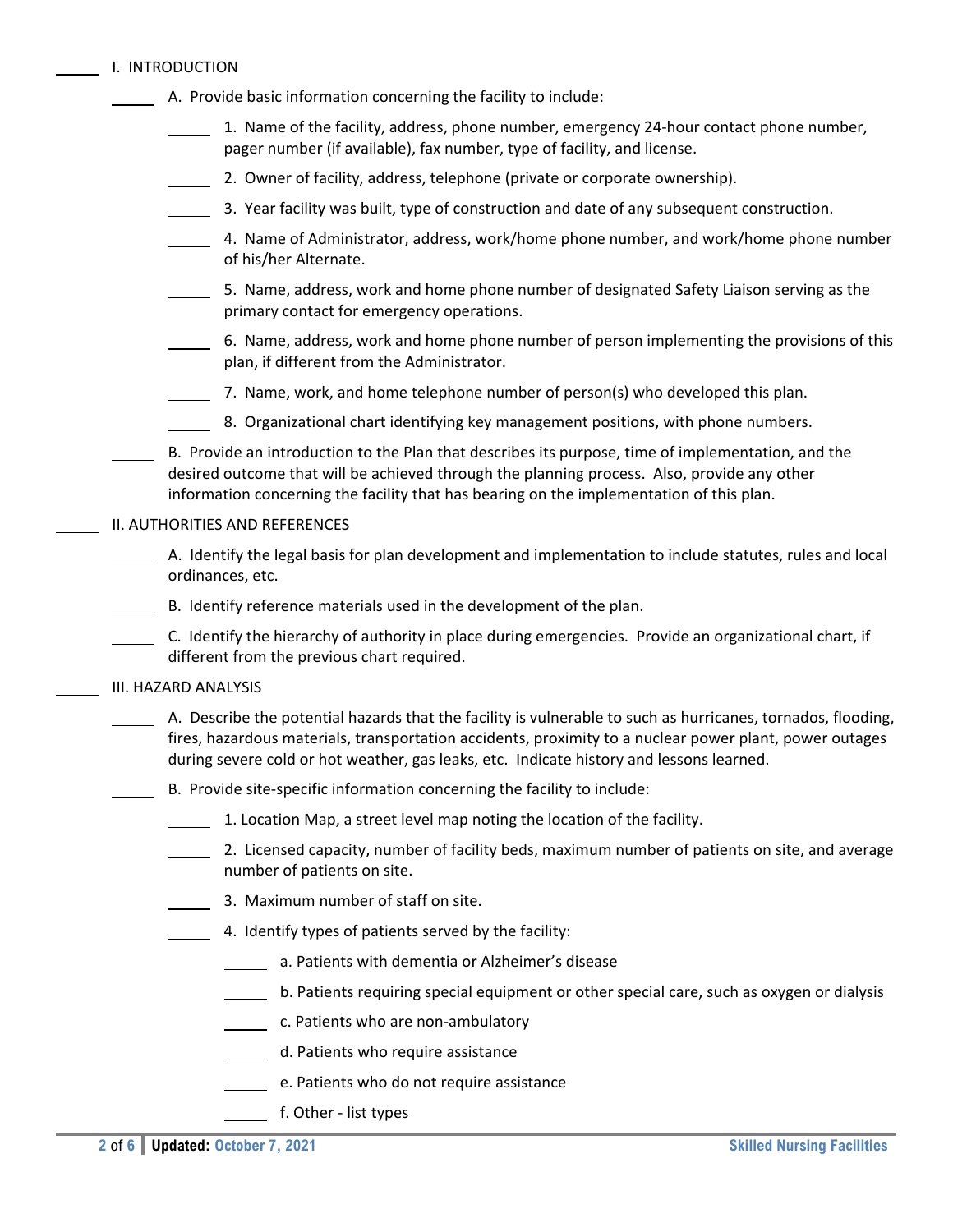|  | I. INTRODUCTION |
|--|-----------------|
|  |                 |

- A. Provide basic information concerning the facility to include:
	- 1. Name of the facility, address, phone number, emergency 24‐hour contact phone number, pager number (if available), fax number, type of facility, and license.
	- 2. Owner of facility, address, telephone (private or corporate ownership).
	- 3. Year facility was built, type of construction and date of any subsequent construction.
	- 4. Name of Administrator, address, work/home phone number, and work/home phone number of his/her Alternate.
	- 5. Name, address, work and home phone number of designated Safety Liaison serving as the primary contact for emergency operations.
	- 6. Name, address, work and home phone number of person implementing the provisions of this plan, if different from the Administrator.
	- 7. Name, work, and home telephone number of  $person(s)$  who developed this plan.
	- 8. Organizational chart identifying key management positions, with phone numbers.

 B. Provide an introduction to the Plan that describes its purpose, time of implementation, and the desired outcome that will be achieved through the planning process. Also, provide any other information concerning the facility that has bearing on the implementation of this plan.

#### II. AUTHORITIES AND REFERENCES

- A. Identify the legal basis for plan development and implementation to include statutes, rules and local ordinances, etc.
- B. Identify reference materials used in the development of the plan.
- C. Identify the hierarchy of authority in place during emergencies. Provide an organizational chart, if different from the previous chart required.

#### III. HAZARD ANALYSIS

- A. Describe the potential hazards that the facility is vulnerable to such as hurricanes, tornados, flooding, fires, hazardous materials, transportation accidents, proximity to a nuclear power plant, power outages during severe cold or hot weather, gas leaks, etc. Indicate history and lessons learned.
	- B. Provide site‐specific information concerning the facility to include:
	- 1. Location Map, a street level map noting the location of the facility.
	- 2. Licensed capacity, number of facility beds, maximum number of patients on site, and average number of patients on site.
	- 3. Maximum number of staff on site.
	- $\blacksquare$  4. Identify types of patients served by the facility:
		- a. Patients with dementia or Alzheimer's disease
		- **b. Patients requiring special equipment or other special care, such as oxygen or dialysis**
		- **c.** Patients who are non-ambulatory
		- d. Patients who require assistance
			- e. Patients who do not require assistance
			- f. Other ‐ list types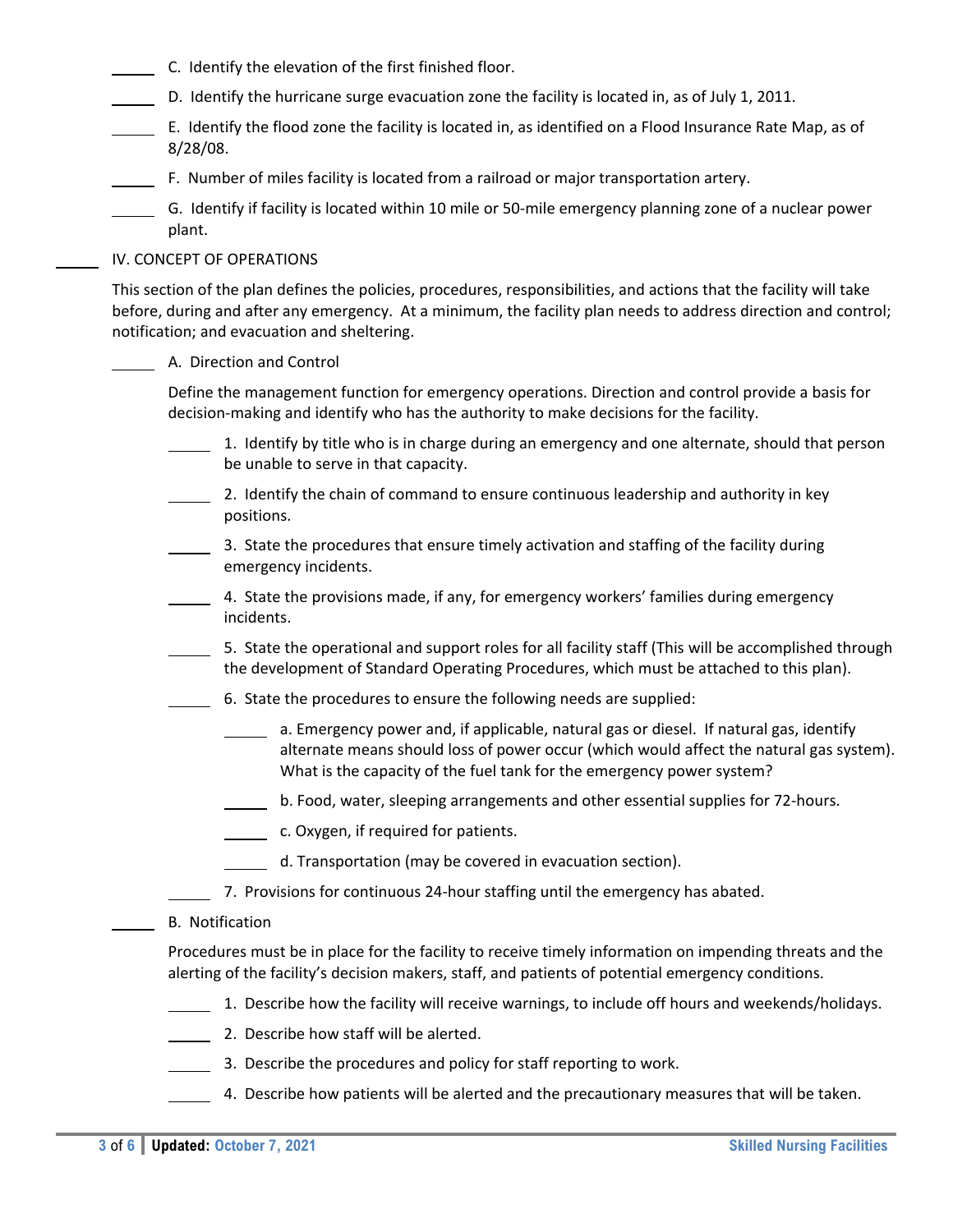- C. Identify the elevation of the first finished floor.
- D. Identify the hurricane surge evacuation zone the facility is located in, as of July 1, 2011.
- E. Identify the flood zone the facility is located in, as identified on a Flood Insurance Rate Map, as of 8/28/08.
- F. Number of miles facility is located from a railroad or major transportation artery.
- G. Identify if facility is located within 10 mile or 50‐mile emergency planning zone of a nuclear power plant.

#### IV. CONCEPT OF OPERATIONS

This section of the plan defines the policies, procedures, responsibilities, and actions that the facility will take before, during and after any emergency. At a minimum, the facility plan needs to address direction and control; notification; and evacuation and sheltering.

#### A. Direction and Control

Define the management function for emergency operations. Direction and control provide a basis for decision‐making and identify who has the authority to make decisions for the facility.

- 1. Identify by title who is in charge during an emergency and one alternate, should that person be unable to serve in that capacity.
- 2. Identify the chain of command to ensure continuous leadership and authority in key positions.
- 3. State the procedures that ensure timely activation and staffing of the facility during emergency incidents.
- 4. State the provisions made, if any, for emergency workers' families during emergency incidents.
- 5. State the operational and support roles for all facility staff (This will be accomplished through the development of Standard Operating Procedures, which must be attached to this plan).
- 6. State the procedures to ensure the following needs are supplied:
	- a. Emergency power and, if applicable, natural gas or diesel. If natural gas, identify alternate means should loss of power occur (which would affect the natural gas system). What is the capacity of the fuel tank for the emergency power system?
	- b. Food, water, sleeping arrangements and other essential supplies for 72‐hours.
	- c. Oxygen, if required for patients.
	- d. Transportation (may be covered in evacuation section).
	- 7. Provisions for continuous 24-hour staffing until the emergency has abated.

#### B. Notification

Procedures must be in place for the facility to receive timely information on impending threats and the alerting of the facility's decision makers, staff, and patients of potential emergency conditions.

- 1. Describe how the facility will receive warnings, to include off hours and weekends/holidays.
- 2. Describe how staff will be alerted.
- 3. Describe the procedures and policy for staff reporting to work.
- 4. Describe how patients will be alerted and the precautionary measures that will be taken.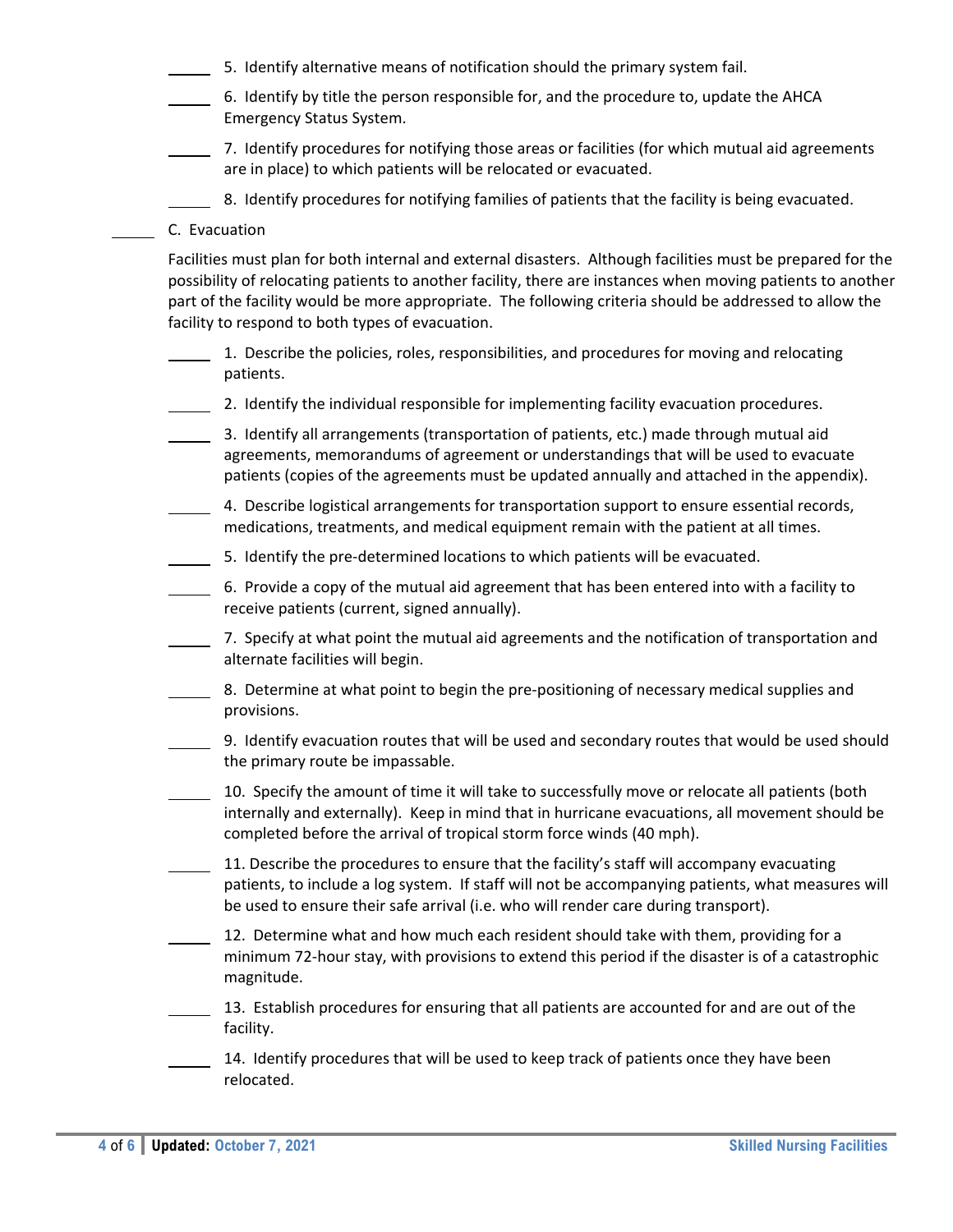- 5. Identify alternative means of notification should the primary system fail.
- 6. Identify by title the person responsible for, and the procedure to, update the AHCA Emergency Status System.
- 7. Identify procedures for notifying those areas or facilities (for which mutual aid agreements are in place) to which patients will be relocated or evacuated.
	- 8. Identify procedures for notifying families of patients that the facility is being evacuated.
- C. Evacuation

Facilities must plan for both internal and external disasters. Although facilities must be prepared for the possibility of relocating patients to another facility, there are instances when moving patients to another part of the facility would be more appropriate. The following criteria should be addressed to allow the facility to respond to both types of evacuation.

- 1. Describe the policies, roles, responsibilities, and procedures for moving and relocating patients.
- 2. Identify the individual responsible for implementing facility evacuation procedures.
- 3. Identify all arrangements (transportation of patients, etc.) made through mutual aid agreements, memorandums of agreement or understandings that will be used to evacuate patients (copies of the agreements must be updated annually and attached in the appendix).
	- 4. Describe logistical arrangements for transportation support to ensure essential records, medications, treatments, and medical equipment remain with the patient at all times.
	- 5. Identify the pre‐determined locations to which patients will be evacuated.
- 6. Provide a copy of the mutual aid agreement that has been entered into with a facility to receive patients (current, signed annually).
- 7. Specify at what point the mutual aid agreements and the notification of transportation and alternate facilities will begin.
- 8. Determine at what point to begin the pre-positioning of necessary medical supplies and provisions.
- 9. Identify evacuation routes that will be used and secondary routes that would be used should the primary route be impassable.
- 10. Specify the amount of time it will take to successfully move or relocate all patients (both internally and externally). Keep in mind that in hurricane evacuations, all movement should be completed before the arrival of tropical storm force winds (40 mph).
- 11. Describe the procedures to ensure that the facility's staff will accompany evacuating patients, to include a log system. If staff will not be accompanying patients, what measures will be used to ensure their safe arrival (i.e. who will render care during transport).
- 12. Determine what and how much each resident should take with them, providing for a minimum 72‐hour stay, with provisions to extend this period if the disaster is of a catastrophic magnitude.
- 13. Establish procedures for ensuring that all patients are accounted for and are out of the facility.
- 14. Identify procedures that will be used to keep track of patients once they have been relocated.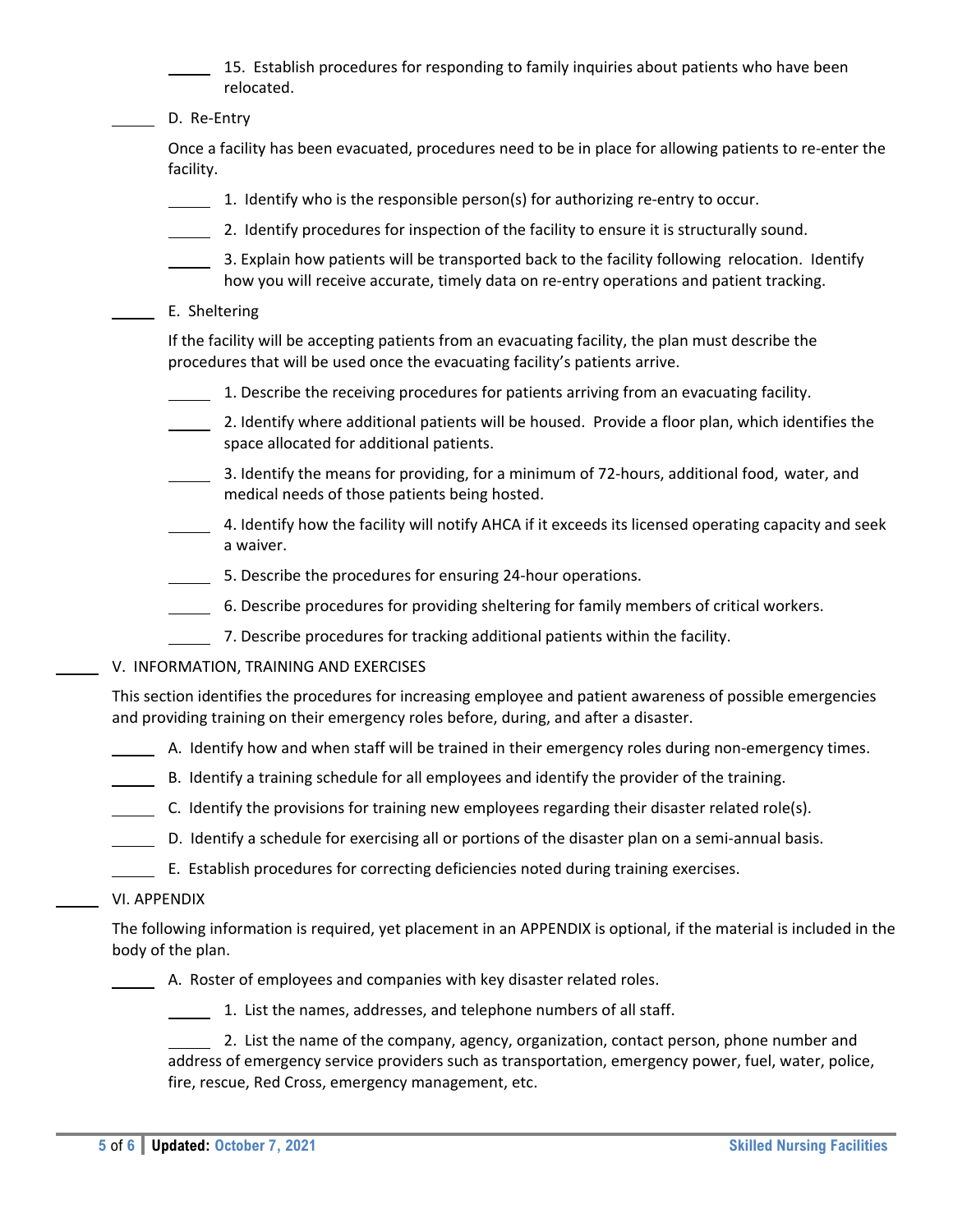15. Establish procedures for responding to family inquiries about patients who have been relocated.

D. Re-Entry

Once a facility has been evacuated, procedures need to be in place for allowing patients to re‐enter the facility.

- 1. Identify who is the responsible person(s) for authorizing re‐entry to occur.
- 2. Identify procedures for inspection of the facility to ensure it is structurally sound.
- 3. Explain how patients will be transported back to the facility following relocation. Identify how you will receive accurate, timely data on re-entry operations and patient tracking.
- E. Sheltering

If the facility will be accepting patients from an evacuating facility, the plan must describe the procedures that will be used once the evacuating facility's patients arrive.

- 1. Describe the receiving procedures for patients arriving from an evacuating facility.
- 2. Identify where additional patients will be housed. Provide a floor plan, which identifies the space allocated for additional patients.
- 3. Identify the means for providing, for a minimum of 72‐hours, additional food, water, and medical needs of those patients being hosted.
- 4. Identify how the facility will notify AHCA if it exceeds its licensed operating capacity and seek a waiver.
- 5. Describe the procedures for ensuring 24‐hour operations.
- 6. Describe procedures for providing sheltering for family members of critical workers.
- 7. Describe procedures for tracking additional patients within the facility.
- V. INFORMATION, TRAINING AND EXERCISES

This section identifies the procedures for increasing employee and patient awareness of possible emergencies and providing training on their emergency roles before, during, and after a disaster.

- A. Identify how and when staff will be trained in their emergency roles during non‐emergency times.
- B. Identify a training schedule for all employees and identify the provider of the training.
- C. Identify the provisions for training new employees regarding their disaster related role(s).
- D. Identify a schedule for exercising all or portions of the disaster plan on a semi-annual basis.
- E. Establish procedures for correcting deficiencies noted during training exercises.
- VI. APPENDIX

The following information is required, yet placement in an APPENDIX is optional, if the material is included in the body of the plan.

A. Roster of employees and companies with key disaster related roles.

1. List the names, addresses, and telephone numbers of all staff.

 2. List the name of the company, agency, organization, contact person, phone number and address of emergency service providers such as transportation, emergency power, fuel, water, police, fire, rescue, Red Cross, emergency management, etc.